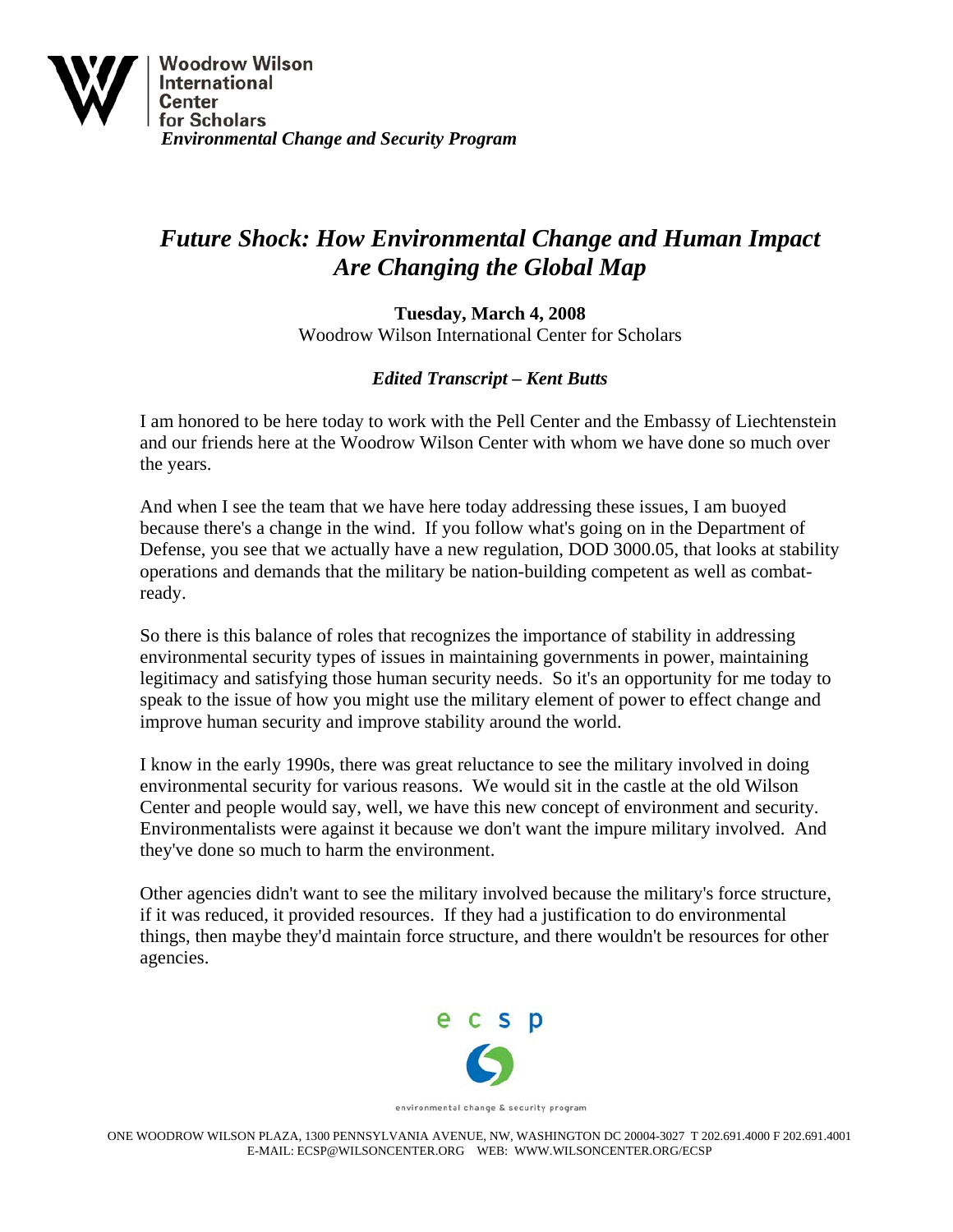

## *Future Shock: How Environmental Change and Human Impact Are Changing the Global Map*

**Tuesday, March 4, 2008**  Woodrow Wilson International Center for Scholars

## *Edited Transcript – Kent Butts*

I am honored to be here today to work with the Pell Center and the Embassy of Liechtenstein and our friends here at the Woodrow Wilson Center with whom we have done so much over the years.

And when I see the team that we have here today addressing these issues, I am buoyed because there's a change in the wind. If you follow what's going on in the Department of Defense, you see that we actually have a new regulation, DOD 3000.05, that looks at stability operations and demands that the military be nation-building competent as well as combatready.

So there is this balance of roles that recognizes the importance of stability in addressing environmental security types of issues in maintaining governments in power, maintaining legitimacy and satisfying those human security needs. So it's an opportunity for me today to speak to the issue of how you might use the military element of power to effect change and improve human security and improve stability around the world.

I know in the early 1990s, there was great reluctance to see the military involved in doing environmental security for various reasons. We would sit in the castle at the old Wilson Center and people would say, well, we have this new concept of environment and security. Environmentalists were against it because we don't want the impure military involved. And they've done so much to harm the environment.

Other agencies didn't want to see the military involved because the military's force structure, if it was reduced, it provided resources. If they had a justification to do environmental things, then maybe they'd maintain force structure, and there wouldn't be resources for other agencies.



environmental change & security program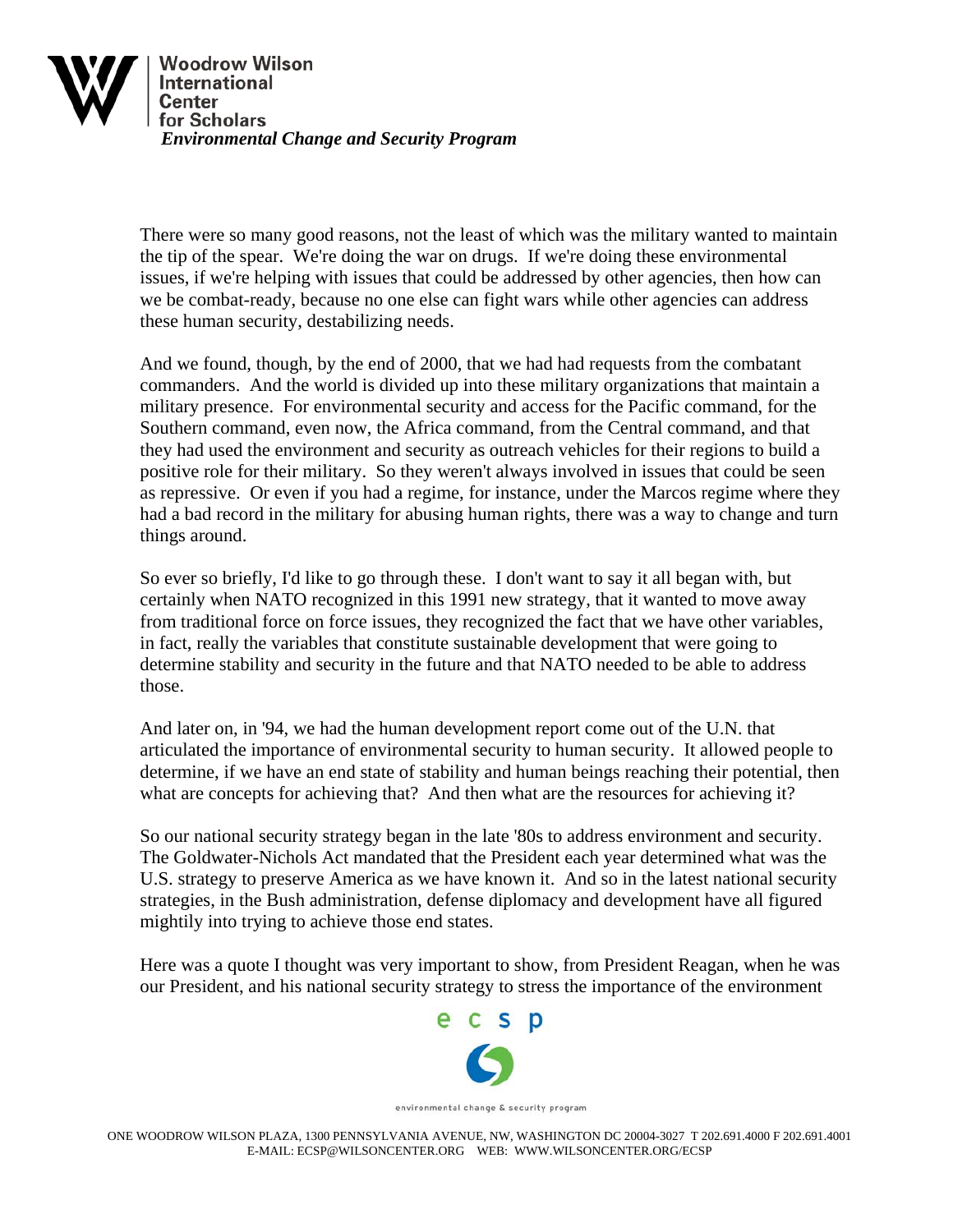

There were so many good reasons, not the least of which was the military wanted to maintain the tip of the spear. We're doing the war on drugs. If we're doing these environmental issues, if we're helping with issues that could be addressed by other agencies, then how can we be combat-ready, because no one else can fight wars while other agencies can address these human security, destabilizing needs.

And we found, though, by the end of 2000, that we had had requests from the combatant commanders. And the world is divided up into these military organizations that maintain a military presence. For environmental security and access for the Pacific command, for the Southern command, even now, the Africa command, from the Central command, and that they had used the environment and security as outreach vehicles for their regions to build a positive role for their military. So they weren't always involved in issues that could be seen as repressive. Or even if you had a regime, for instance, under the Marcos regime where they had a bad record in the military for abusing human rights, there was a way to change and turn things around.

So ever so briefly, I'd like to go through these. I don't want to say it all began with, but certainly when NATO recognized in this 1991 new strategy, that it wanted to move away from traditional force on force issues, they recognized the fact that we have other variables, in fact, really the variables that constitute sustainable development that were going to determine stability and security in the future and that NATO needed to be able to address those.

And later on, in '94, we had the human development report come out of the U.N. that articulated the importance of environmental security to human security. It allowed people to determine, if we have an end state of stability and human beings reaching their potential, then what are concepts for achieving that? And then what are the resources for achieving it?

So our national security strategy began in the late '80s to address environment and security. The Goldwater-Nichols Act mandated that the President each year determined what was the U.S. strategy to preserve America as we have known it. And so in the latest national security strategies, in the Bush administration, defense diplomacy and development have all figured mightily into trying to achieve those end states.

Here was a quote I thought was very important to show, from President Reagan, when he was our President, and his national security strategy to stress the importance of the environment

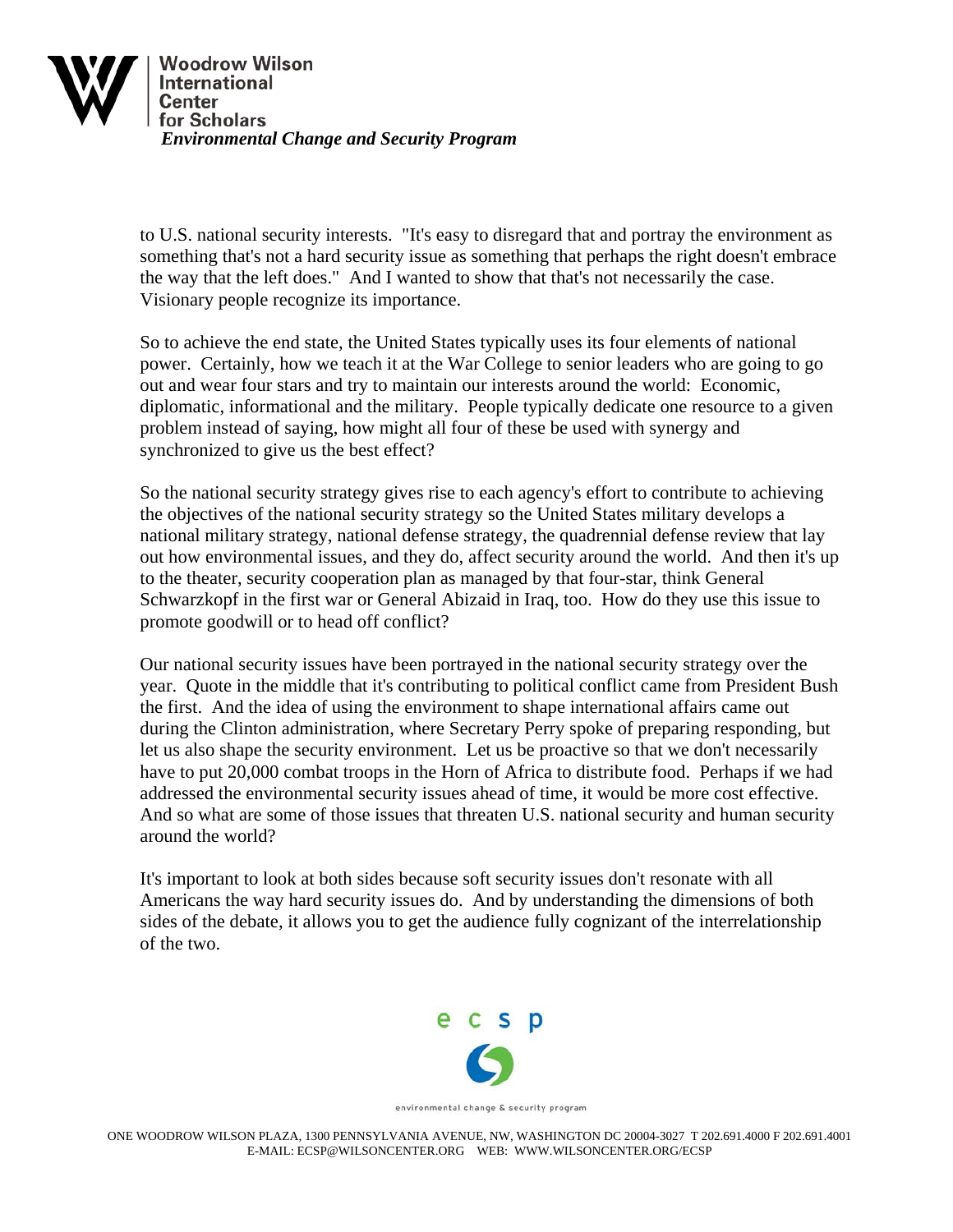

to U.S. national security interests. "It's easy to disregard that and portray the environment as something that's not a hard security issue as something that perhaps the right doesn't embrace the way that the left does." And I wanted to show that that's not necessarily the case. Visionary people recognize its importance.

So to achieve the end state, the United States typically uses its four elements of national power. Certainly, how we teach it at the War College to senior leaders who are going to go out and wear four stars and try to maintain our interests around the world: Economic, diplomatic, informational and the military. People typically dedicate one resource to a given problem instead of saying, how might all four of these be used with synergy and synchronized to give us the best effect?

So the national security strategy gives rise to each agency's effort to contribute to achieving the objectives of the national security strategy so the United States military develops a national military strategy, national defense strategy, the quadrennial defense review that lay out how environmental issues, and they do, affect security around the world. And then it's up to the theater, security cooperation plan as managed by that four-star, think General Schwarzkopf in the first war or General Abizaid in Iraq, too. How do they use this issue to promote goodwill or to head off conflict?

Our national security issues have been portrayed in the national security strategy over the year. Quote in the middle that it's contributing to political conflict came from President Bush the first. And the idea of using the environment to shape international affairs came out during the Clinton administration, where Secretary Perry spoke of preparing responding, but let us also shape the security environment. Let us be proactive so that we don't necessarily have to put 20,000 combat troops in the Horn of Africa to distribute food. Perhaps if we had addressed the environmental security issues ahead of time, it would be more cost effective. And so what are some of those issues that threaten U.S. national security and human security around the world?

It's important to look at both sides because soft security issues don't resonate with all Americans the way hard security issues do. And by understanding the dimensions of both sides of the debate, it allows you to get the audience fully cognizant of the interrelationship of the two.



environmental change & security program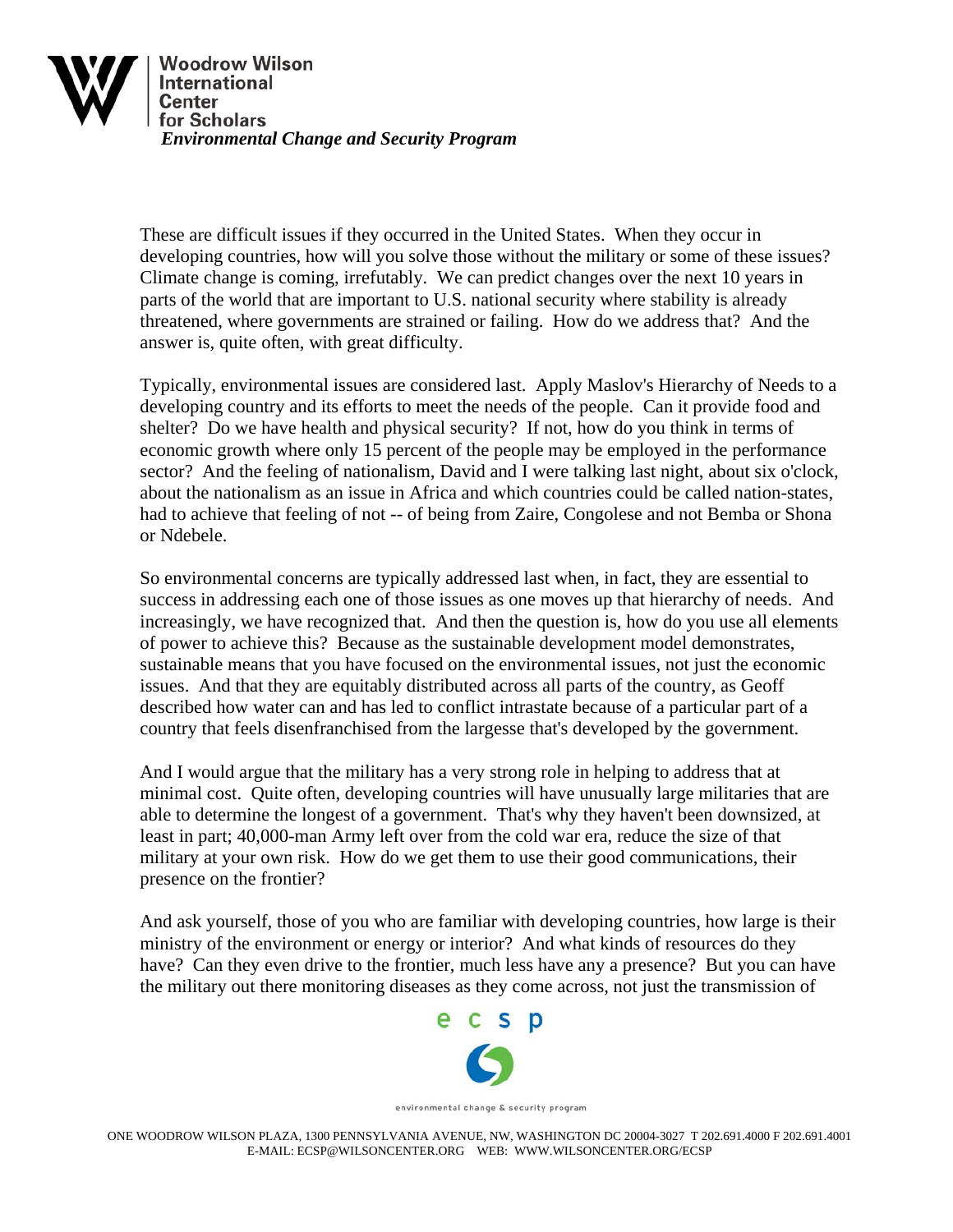

These are difficult issues if they occurred in the United States. When they occur in developing countries, how will you solve those without the military or some of these issues? Climate change is coming, irrefutably. We can predict changes over the next 10 years in parts of the world that are important to U.S. national security where stability is already threatened, where governments are strained or failing. How do we address that? And the answer is, quite often, with great difficulty.

Typically, environmental issues are considered last. Apply Maslov's Hierarchy of Needs to a developing country and its efforts to meet the needs of the people. Can it provide food and shelter? Do we have health and physical security? If not, how do you think in terms of economic growth where only 15 percent of the people may be employed in the performance sector? And the feeling of nationalism, David and I were talking last night, about six o'clock, about the nationalism as an issue in Africa and which countries could be called nation-states, had to achieve that feeling of not -- of being from Zaire, Congolese and not Bemba or Shona or Ndebele.

So environmental concerns are typically addressed last when, in fact, they are essential to success in addressing each one of those issues as one moves up that hierarchy of needs. And increasingly, we have recognized that. And then the question is, how do you use all elements of power to achieve this? Because as the sustainable development model demonstrates, sustainable means that you have focused on the environmental issues, not just the economic issues. And that they are equitably distributed across all parts of the country, as Geoff described how water can and has led to conflict intrastate because of a particular part of a country that feels disenfranchised from the largesse that's developed by the government.

And I would argue that the military has a very strong role in helping to address that at minimal cost. Quite often, developing countries will have unusually large militaries that are able to determine the longest of a government. That's why they haven't been downsized, at least in part; 40,000-man Army left over from the cold war era, reduce the size of that military at your own risk. How do we get them to use their good communications, their presence on the frontier?

And ask yourself, those of you who are familiar with developing countries, how large is their ministry of the environment or energy or interior? And what kinds of resources do they have? Can they even drive to the frontier, much less have any a presence? But you can have the military out there monitoring diseases as they come across, not just the transmission of

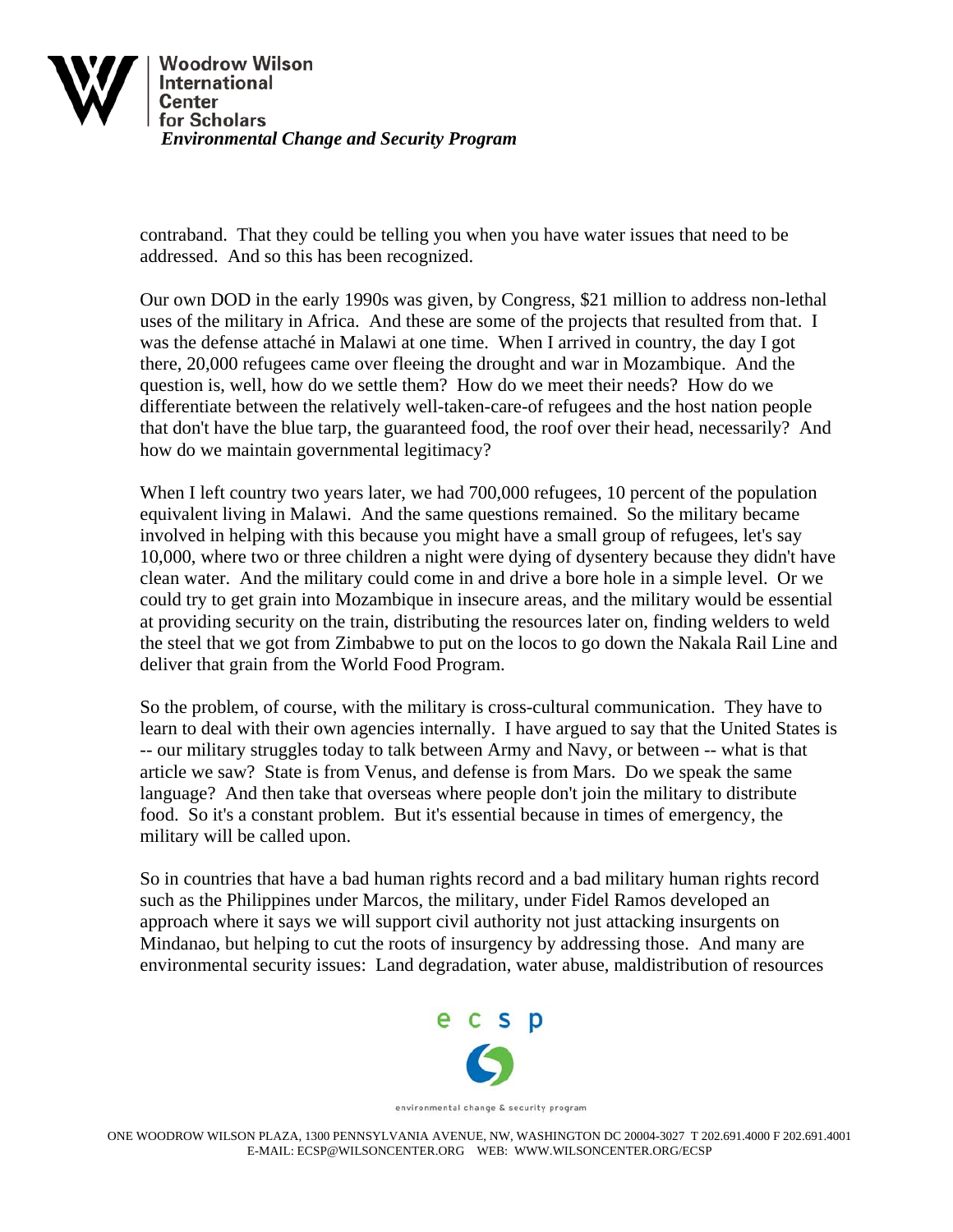

contraband. That they could be telling you when you have water issues that need to be addressed. And so this has been recognized.

Our own DOD in the early 1990s was given, by Congress, \$21 million to address non-lethal uses of the military in Africa. And these are some of the projects that resulted from that. I was the defense attaché in Malawi at one time. When I arrived in country, the day I got there, 20,000 refugees came over fleeing the drought and war in Mozambique. And the question is, well, how do we settle them? How do we meet their needs? How do we differentiate between the relatively well-taken-care-of refugees and the host nation people that don't have the blue tarp, the guaranteed food, the roof over their head, necessarily? And how do we maintain governmental legitimacy?

When I left country two years later, we had 700,000 refugees, 10 percent of the population equivalent living in Malawi. And the same questions remained. So the military became involved in helping with this because you might have a small group of refugees, let's say 10,000, where two or three children a night were dying of dysentery because they didn't have clean water. And the military could come in and drive a bore hole in a simple level. Or we could try to get grain into Mozambique in insecure areas, and the military would be essential at providing security on the train, distributing the resources later on, finding welders to weld the steel that we got from Zimbabwe to put on the locos to go down the Nakala Rail Line and deliver that grain from the World Food Program.

So the problem, of course, with the military is cross-cultural communication. They have to learn to deal with their own agencies internally. I have argued to say that the United States is -- our military struggles today to talk between Army and Navy, or between -- what is that article we saw? State is from Venus, and defense is from Mars. Do we speak the same language? And then take that overseas where people don't join the military to distribute food. So it's a constant problem. But it's essential because in times of emergency, the military will be called upon.

So in countries that have a bad human rights record and a bad military human rights record such as the Philippines under Marcos, the military, under Fidel Ramos developed an approach where it says we will support civil authority not just attacking insurgents on Mindanao, but helping to cut the roots of insurgency by addressing those. And many are environmental security issues: Land degradation, water abuse, maldistribution of resources



environmental change & security program